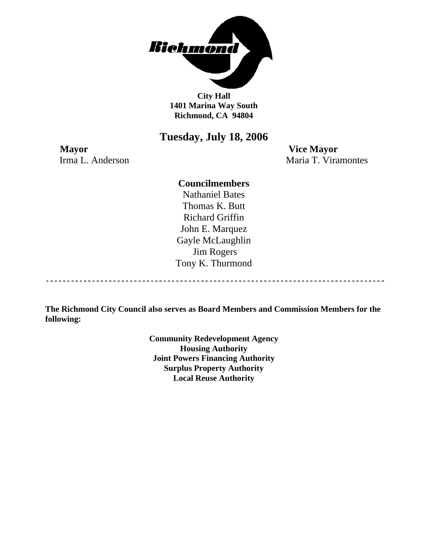

**City Hall 1401 Marina Way South Richmond, CA 94804** 

# **Tuesday, July 18, 2006**

**Mayor Vice Mayor** 

Irma L. Anderson Maria T. Viramontes

# **Councilmembers**

Nathaniel Bates Thomas K. Butt Richard Griffin John E. Marquez Gayle McLaughlin Jim Rogers Tony K. Thurmond

**The Richmond City Council also serves as Board Members and Commission Members for the following:** 

> **Community Redevelopment Agency Housing Authority Joint Powers Financing Authority Surplus Property Authority Local Reuse Authority**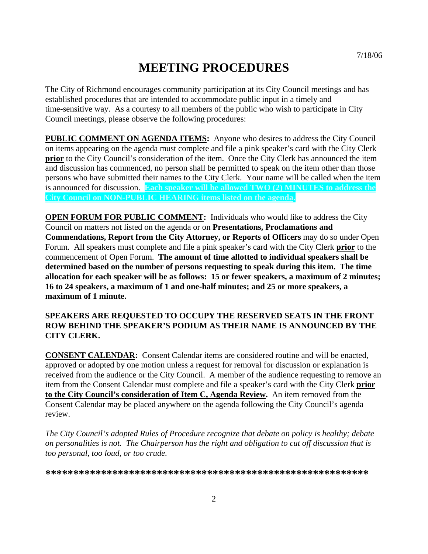# **MEETING PROCEDURES**

The City of Richmond encourages community participation at its City Council meetings and has established procedures that are intended to accommodate public input in a timely and time-sensitive way. As a courtesy to all members of the public who wish to participate in City Council meetings, please observe the following procedures:

**PUBLIC COMMENT ON AGENDA ITEMS:** Anyone who desires to address the City Council on items appearing on the agenda must complete and file a pink speaker's card with the City Clerk **prior** to the City Council's consideration of the item. Once the City Clerk has announced the item and discussion has commenced, no person shall be permitted to speak on the item other than those persons who have submitted their names to the City Clerk. Your name will be called when the item is announced for discussion. **Each speaker will be allowed TWO (2) MINUTES to address the City Council on NON-PUBLIC HEARING items listed on the agenda.** 

**OPEN FORUM FOR PUBLIC COMMENT:** Individuals who would like to address the City Council on matters not listed on the agenda or on **Presentations, Proclamations and Commendations, Report from the City Attorney, or Reports of Officers** may do so under Open Forum. All speakers must complete and file a pink speaker's card with the City Clerk **prior** to the commencement of Open Forum. **The amount of time allotted to individual speakers shall be determined based on the number of persons requesting to speak during this item. The time allocation for each speaker will be as follows: 15 or fewer speakers, a maximum of 2 minutes; 16 to 24 speakers, a maximum of 1 and one-half minutes; and 25 or more speakers, a maximum of 1 minute.** 

# **SPEAKERS ARE REQUESTED TO OCCUPY THE RESERVED SEATS IN THE FRONT ROW BEHIND THE SPEAKER'S PODIUM AS THEIR NAME IS ANNOUNCED BY THE CITY CLERK.**

**CONSENT CALENDAR:** Consent Calendar items are considered routine and will be enacted, approved or adopted by one motion unless a request for removal for discussion or explanation is received from the audience or the City Council. A member of the audience requesting to remove an item from the Consent Calendar must complete and file a speaker's card with the City Clerk **prior to the City Council's consideration of Item C, Agenda Review.** An item removed from the Consent Calendar may be placed anywhere on the agenda following the City Council's agenda review.

*The City Council's adopted Rules of Procedure recognize that debate on policy is healthy; debate on personalities is not. The Chairperson has the right and obligation to cut off discussion that is too personal, too loud, or too crude.* 

**\*\*\*\*\*\*\*\*\*\*\*\*\*\*\*\*\*\*\*\*\*\*\*\*\*\*\*\*\*\*\*\*\*\*\*\*\*\*\*\*\*\*\*\*\*\*\*\*\*\*\*\*\*\*\*\*\*\***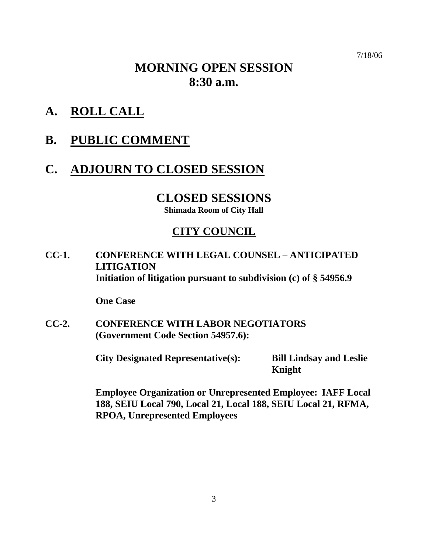7/18/06

# **MORNING OPEN SESSION 8:30 a.m.**

- **A. ROLL CALL**
- **B. PUBLIC COMMENT**

# **C. ADJOURN TO CLOSED SESSION**

# **CLOSED SESSIONS**

**Shimada Room of City Hall** 

# **CITY COUNCIL**

**CC-1. CONFERENCE WITH LEGAL COUNSEL – ANTICIPATED LITIGATION Initiation of litigation pursuant to subdivision (c) of § 54956.9** 

 **One Case** 

**CC-2. CONFERENCE WITH LABOR NEGOTIATORS (Government Code Section 54957.6):** 

**City Designated Representative(s): Bill Lindsay and Leslie** 

**Knight** 

 **Employee Organization or Unrepresented Employee: IAFF Local 188, SEIU Local 790, Local 21, Local 188, SEIU Local 21, RFMA, RPOA, Unrepresented Employees**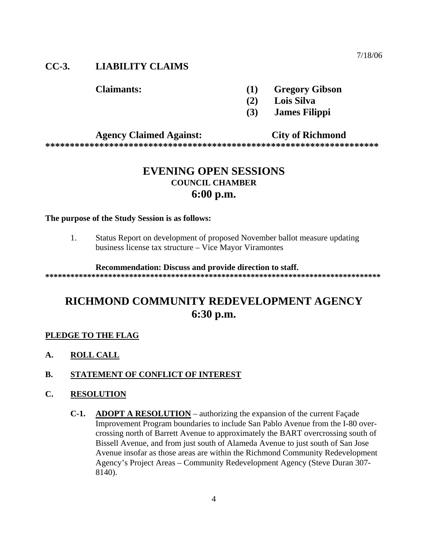7/18/06

# **CC-3. LIABILITY CLAIMS**

- **Claimants: (1) Gregory Gibson** 
	- **(2) Lois Silva**
	- **(3) James Filippi**

### **Agency Claimed Against: City of Richmond**

**\*\*\*\*\*\*\*\*\*\*\*\*\*\*\*\*\*\*\*\*\*\*\*\*\*\*\*\*\*\*\*\*\*\*\*\*\*\*\*\*\*\*\*\*\*\*\*\*\*\*\*\*\*\*\*\*\*\*\*\*\*\*\*\*\*\*\*\*** 

# **EVENING OPEN SESSIONS COUNCIL CHAMBER 6:00 p.m.**

#### **The purpose of the Study Session is as follows:**

1. Status Report on development of proposed November ballot measure updating business license tax structure – Vice Mayor Viramontes

#### **Recommendation: Discuss and provide direction to staff.**

**\*\*\*\*\*\*\*\*\*\*\*\*\*\*\*\*\*\*\*\*\*\*\*\*\*\*\*\*\*\*\*\*\*\*\*\*\*\*\*\*\*\*\*\*\*\*\*\*\*\*\*\*\*\*\*\*\*\*\*\*\*\*\*\*\*\*\*\*\*\*\*\*\*\*\*\*\*\*\*\*** 

# **RICHMOND COMMUNITY REDEVELOPMENT AGENCY 6:30 p.m.**

#### **PLEDGE TO THE FLAG**

**A. ROLL CALL**

### **B. STATEMENT OF CONFLICT OF INTEREST**

### **C. RESOLUTION**

**C-1. ADOPT A RESOLUTION** – authorizing the expansion of the current Façade Improvement Program boundaries to include San Pablo Avenue from the I-80 overcrossing north of Barrett Avenue to approximately the BART overcrossing south of Bissell Avenue, and from just south of Alameda Avenue to just south of San Jose Avenue insofar as those areas are within the Richmond Community Redevelopment Agency's Project Areas – Community Redevelopment Agency (Steve Duran 307- 8140).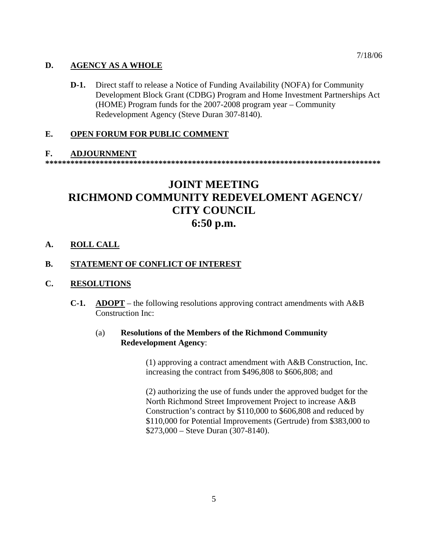### **D. AGENCY AS A WHOLE**

**D-1.** Direct staff to release a Notice of Funding Availability (NOFA) for Community Development Block Grant (CDBG) Program and Home Investment Partnerships Act (HOME) Program funds for the 2007-2008 program year – Community Redevelopment Agency (Steve Duran 307-8140).

### **E. OPEN FORUM FOR PUBLIC COMMENT**

#### **F. ADJOURNMENT**

**\*\*\*\*\*\*\*\*\*\*\*\*\*\*\*\*\*\*\*\*\*\*\*\*\*\*\*\*\*\*\*\*\*\*\*\*\*\*\*\*\*\*\*\*\*\*\*\*\*\*\*\*\*\*\*\*\*\*\*\*\*\*\*\*\*\*\*\*\*\*\*\*\*\*\*\*\*\*\*\*** 

# **JOINT MEETING RICHMOND COMMUNITY REDEVELOMENT AGENCY/ CITY COUNCIL 6:50 p.m.**

**A. ROLL CALL**

### **B. STATEMENT OF CONFLICT OF INTEREST**

#### **C. RESOLUTIONS**

**C-1. ADOPT** – the following resolutions approving contract amendments with A&B Construction Inc:

### (a) **Resolutions of the Members of the Richmond Community Redevelopment Agency**:

(1) approving a contract amendment with A&B Construction, Inc. increasing the contract from \$496,808 to \$606,808; and

(2) authorizing the use of funds under the approved budget for the North Richmond Street Improvement Project to increase A&B Construction's contract by \$110,000 to \$606,808 and reduced by \$110,000 for Potential Improvements (Gertrude) from \$383,000 to \$273,000 – Steve Duran (307-8140).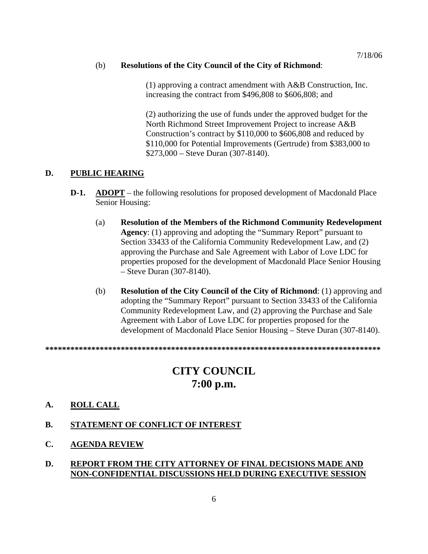#### (b) **Resolutions of the City Council of the City of Richmond**:

(1) approving a contract amendment with A&B Construction, Inc. increasing the contract from \$496,808 to \$606,808; and

(2) authorizing the use of funds under the approved budget for the North Richmond Street Improvement Project to increase A&B Construction's contract by \$110,000 to \$606,808 and reduced by \$110,000 for Potential Improvements (Gertrude) from \$383,000 to \$273,000 – Steve Duran (307-8140).

# **D. PUBLIC HEARING**

- **D-1.** ADOPT the following resolutions for proposed development of Macdonald Place Senior Housing:
	- (a) **Resolution of the Members of the Richmond Community Redevelopment Agency**: (1) approving and adopting the "Summary Report" pursuant to Section 33433 of the California Community Redevelopment Law, and (2) approving the Purchase and Sale Agreement with Labor of Love LDC for properties proposed for the development of Macdonald Place Senior Housing – Steve Duran (307-8140).
	- (b) **Resolution of the City Council of the City of Richmond**: (1) approving and adopting the "Summary Report" pursuant to Section 33433 of the California Community Redevelopment Law, and (2) approving the Purchase and Sale Agreement with Labor of Love LDC for properties proposed for the development of Macdonald Place Senior Housing – Steve Duran (307-8140).

**\*\*\*\*\*\*\*\*\*\*\*\*\*\*\*\*\*\*\*\*\*\*\*\*\*\*\*\*\*\*\*\*\*\*\*\*\*\*\*\*\*\*\*\*\*\*\*\*\*\*\*\*\*\*\*\*\*\*\*\*\*\*\*\*\*\*\*\*\*\*\*\*\*\*\*\*\*\*\*\*** 

# **CITY COUNCIL 7:00 p.m.**

### **A. ROLL CALL**

- **B. STATEMENT OF CONFLICT OF INTEREST**
- **C. AGENDA REVIEW**

## **D. REPORT FROM THE CITY ATTORNEY OF FINAL DECISIONS MADE AND NON-CONFIDENTIAL DISCUSSIONS HELD DURING EXECUTIVE SESSION**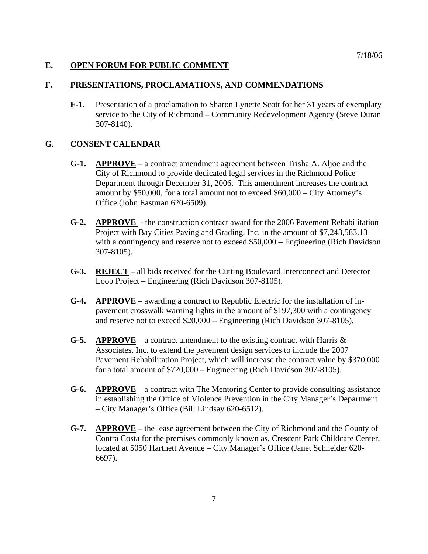### **E. OPEN FORUM FOR PUBLIC COMMENT**

### **F. PRESENTATIONS, PROCLAMATIONS, AND COMMENDATIONS**

**F-1.** Presentation of a proclamation to Sharon Lynette Scott for her 31 years of exemplary service to the City of Richmond – Community Redevelopment Agency (Steve Duran 307-8140).

# **G. CONSENT CALENDAR**

- **G-1. APPROVE** a contract amendment agreement between Trisha A. Aljoe and the City of Richmond to provide dedicated legal services in the Richmond Police Department through December 31, 2006. This amendment increases the contract amount by \$50,000, for a total amount not to exceed \$60,000 – City Attorney's Office (John Eastman 620-6509).
- **G-2. APPROVE**  the construction contract award for the 2006 Pavement Rehabilitation Project with Bay Cities Paving and Grading, Inc. in the amount of \$7,243,583.13 with a contingency and reserve not to exceed \$50,000 – Engineering (Rich Davidson 307-8105).
- **G-3. REJECT** all bids received for the Cutting Boulevard Interconnect and Detector Loop Project – Engineering (Rich Davidson 307-8105).
- **G-4. APPROVE** awarding a contract to Republic Electric for the installation of inpavement crosswalk warning lights in the amount of \$197,300 with a contingency and reserve not to exceed \$20,000 – Engineering (Rich Davidson 307-8105).
- **G-5.** APPROVE a contract amendment to the existing contract with Harris  $\&$ Associates, Inc. to extend the pavement design services to include the 2007 Pavement Rehabilitation Project, which will increase the contract value by \$370,000 for a total amount of \$720,000 – Engineering (Rich Davidson 307-8105).
- **G-6. APPROVE** a contract with The Mentoring Center to provide consulting assistance in establishing the Office of Violence Prevention in the City Manager's Department – City Manager's Office (Bill Lindsay 620-6512).
- **G-7. APPROVE** the lease agreement between the City of Richmond and the County of Contra Costa for the premises commonly known as, Crescent Park Childcare Center, located at 5050 Hartnett Avenue – City Manager's Office (Janet Schneider 620- 6697).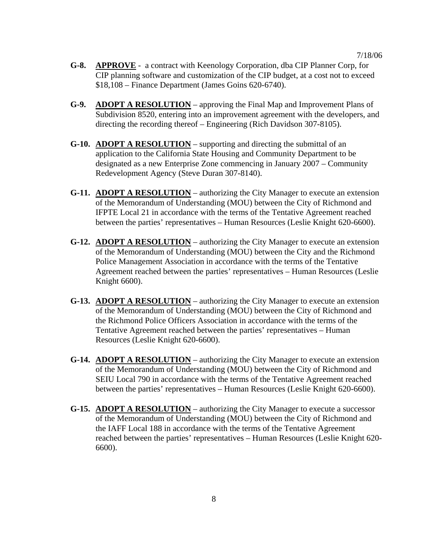- **G-8. APPROVE** a contract with Keenology Corporation, dba CIP Planner Corp, for CIP planning software and customization of the CIP budget, at a cost not to exceed \$18,108 – Finance Department (James Goins 620-6740).
- **G-9. ADOPT A RESOLUTION** approving the Final Map and Improvement Plans of Subdivision 8520, entering into an improvement agreement with the developers, and directing the recording thereof – Engineering (Rich Davidson 307-8105).
- **G-10. ADOPT A RESOLUTION** supporting and directing the submittal of an application to the California State Housing and Community Department to be designated as a new Enterprise Zone commencing in January 2007 – Community Redevelopment Agency (Steve Duran 307-8140).
- **G-11. ADOPT A RESOLUTION** authorizing the City Manager to execute an extension of the Memorandum of Understanding (MOU) between the City of Richmond and IFPTE Local 21 in accordance with the terms of the Tentative Agreement reached between the parties' representatives – Human Resources (Leslie Knight 620-6600).
- **G-12. ADOPT A RESOLUTION** authorizing the City Manager to execute an extension of the Memorandum of Understanding (MOU) between the City and the Richmond Police Management Association in accordance with the terms of the Tentative Agreement reached between the parties' representatives – Human Resources (Leslie Knight 6600).
- **G-13. ADOPT A RESOLUTION** authorizing the City Manager to execute an extension of the Memorandum of Understanding (MOU) between the City of Richmond and the Richmond Police Officers Association in accordance with the terms of the Tentative Agreement reached between the parties' representatives – Human Resources (Leslie Knight 620-6600).
- **G-14. ADOPT A RESOLUTION** authorizing the City Manager to execute an extension of the Memorandum of Understanding (MOU) between the City of Richmond and SEIU Local 790 in accordance with the terms of the Tentative Agreement reached between the parties' representatives – Human Resources (Leslie Knight 620-6600).
- **G-15. ADOPT A RESOLUTION** authorizing the City Manager to execute a successor of the Memorandum of Understanding (MOU) between the City of Richmond and the IAFF Local 188 in accordance with the terms of the Tentative Agreement reached between the parties' representatives – Human Resources (Leslie Knight 620- 6600).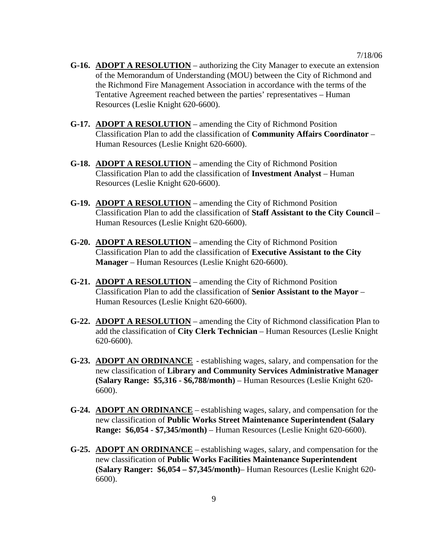- **G-16. ADOPT A RESOLUTION** authorizing the City Manager to execute an extension of the Memorandum of Understanding (MOU) between the City of Richmond and the Richmond Fire Management Association in accordance with the terms of the Tentative Agreement reached between the parties' representatives – Human Resources (Leslie Knight 620-6600).
- **G-17. ADOPT A RESOLUTION** amending the City of Richmond Position Classification Plan to add the classification of **Community Affairs Coordinator** – Human Resources (Leslie Knight 620-6600).
- **G-18. ADOPT A RESOLUTION** amending the City of Richmond Position Classification Plan to add the classification of **Investment Analyst** – Human Resources (Leslie Knight 620-6600).
- **G-19. ADOPT A RESOLUTION** amending the City of Richmond Position Classification Plan to add the classification of **Staff Assistant to the City Council** – Human Resources (Leslie Knight 620-6600).
- **G-20. ADOPT A RESOLUTION** amending the City of Richmond Position Classification Plan to add the classification of **Executive Assistant to the City Manager** – Human Resources (Leslie Knight 620-6600).
- **G-21. ADOPT A RESOLUTION** amending the City of Richmond Position Classification Plan to add the classification of **Senior Assistant to the Mayor** – Human Resources (Leslie Knight 620-6600).
- **G-22. ADOPT A RESOLUTION** amending the City of Richmond classification Plan to add the classification of **City Clerk Technician** – Human Resources (Leslie Knight 620-6600).
- **G-23. ADOPT AN ORDINANCE** establishing wages, salary, and compensation for the new classification of **Library and Community Services Administrative Manager (Salary Range: \$5,316 - \$6,788/month)** – Human Resources (Leslie Knight 620- 6600).
- **G-24. ADOPT AN ORDINANCE** establishing wages, salary, and compensation for the new classification of **Public Works Street Maintenance Superintendent (Salary Range: \$6,054 - \$7,345/month)** – Human Resources (Leslie Knight 620-6600).
- **G-25. ADOPT AN ORDINANCE** establishing wages, salary, and compensation for the new classification of **Public Works Facilities Maintenance Superintendent (Salary Ranger: \$6,054 – \$7,345/month)**– Human Resources (Leslie Knight 620- 6600).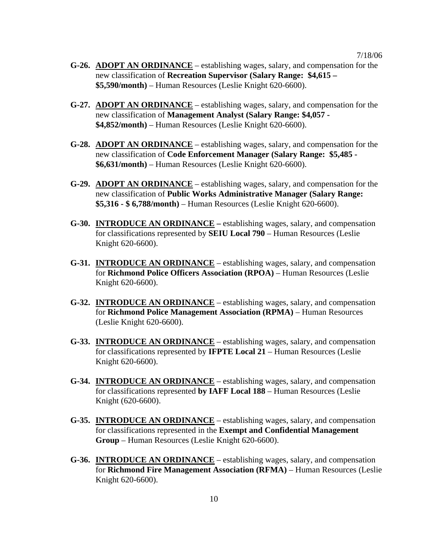- **G-26. ADOPT AN ORDINANCE** establishing wages, salary, and compensation for the new classification of **Recreation Supervisor (Salary Range: \$4,615 – \$5,590/month)** – Human Resources (Leslie Knight 620-6600).
- **G-27. ADOPT AN ORDINANCE** establishing wages, salary, and compensation for the new classification of **Management Analyst (Salary Range: \$4,057 - \$4,852/month)** – Human Resources (Leslie Knight 620-6600).
- **G-28. ADOPT AN ORDINANCE** establishing wages, salary, and compensation for the new classification of **Code Enforcement Manager (Salary Range: \$5,485 - \$6,631/month)** – Human Resources (Leslie Knight 620-6600).
- **G-29. ADOPT AN ORDINANCE** establishing wages, salary, and compensation for the new classification of **Public Works Administrative Manager (Salary Range: \$5,316 - \$ 6,788/month)** – Human Resources (Leslie Knight 620-6600).
- **G-30. INTRODUCE AN ORDINANCE** establishing wages, salary, and compensation for classifications represented by **SEIU Local 790** – Human Resources (Leslie Knight 620-6600).
- **G-31. INTRODUCE AN ORDINANCE** establishing wages, salary, and compensation for **Richmond Police Officers Association (RPOA)** – Human Resources (Leslie Knight 620-6600).
- **G-32. INTRODUCE AN ORDINANCE** establishing wages, salary, and compensation for **Richmond Police Management Association (RPMA)** – Human Resources (Leslie Knight 620-6600).
- **G-33. INTRODUCE AN ORDINANCE** establishing wages, salary, and compensation for classifications represented by **IFPTE Local 21** – Human Resources (Leslie Knight 620-6600).
- **G-34. INTRODUCE AN ORDINANCE** establishing wages, salary, and compensation for classifications represented **by IAFF Local 188** – Human Resources (Leslie Knight (620-6600).
- **G-35. INTRODUCE AN ORDINANCE** establishing wages, salary, and compensation for classifications represented in the **Exempt and Confidential Management Group** – Human Resources (Leslie Knight 620-6600).
- **G-36. INTRODUCE AN ORDINANCE** establishing wages, salary, and compensation for **Richmond Fire Management Association (RFMA)** – Human Resources (Leslie Knight 620-6600).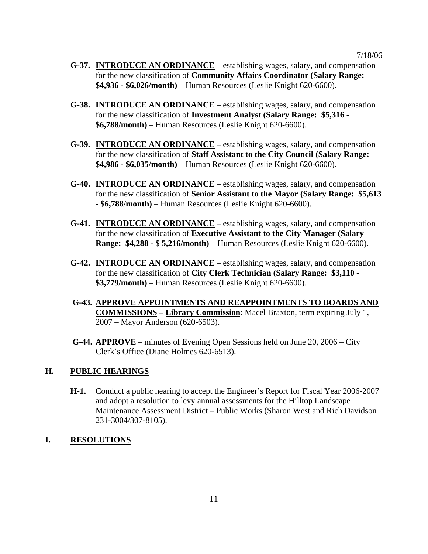- **G-37. INTRODUCE AN ORDINANCE** establishing wages, salary, and compensation for the new classification of **Community Affairs Coordinator (Salary Range: \$4,936 - \$6,026/month)** – Human Resources (Leslie Knight 620-6600).
- **G-38. INTRODUCE AN ORDINANCE** establishing wages, salary, and compensation for the new classification of **Investment Analyst (Salary Range: \$5,316 - \$6,788/month)** – Human Resources (Leslie Knight 620-6600).
- **G-39. INTRODUCE AN ORDINANCE** establishing wages, salary, and compensation for the new classification of **Staff Assistant to the City Council (Salary Range: \$4,986 - \$6,035/month)** – Human Resources (Leslie Knight 620-6600).
- **G-40. INTRODUCE AN ORDINANCE** establishing wages, salary, and compensation for the new classification of **Senior Assistant to the Mayor (Salary Range: \$5,613 - \$6,788/month)** – Human Resources (Leslie Knight 620-6600).
- **G-41. INTRODUCE AN ORDINANCE** establishing wages, salary, and compensation for the new classification of **Executive Assistant to the City Manager (Salary Range: \$4,288 - \$ 5,216/month)** – Human Resources (Leslie Knight 620-6600).
- **G-42. INTRODUCE AN ORDINANCE** establishing wages, salary, and compensation for the new classification of **City Clerk Technician (Salary Range: \$3,110 - \$3,779/month)** – Human Resources (Leslie Knight 620-6600).
- **G-43. APPROVE APPOINTMENTS AND REAPPOINTMENTS TO BOARDS AND COMMISSIONS** – **Library Commission**: Macel Braxton, term expiring July 1, 2007 – Mayor Anderson (620-6503).
- **G-44. APPROVE** minutes of Evening Open Sessions held on June 20, 2006 City Clerk's Office (Diane Holmes 620-6513).

# **H. PUBLIC HEARINGS**

**H-1.** Conduct a public hearing to accept the Engineer's Report for Fiscal Year 2006-2007 and adopt a resolution to levy annual assessments for the Hilltop Landscape Maintenance Assessment District – Public Works (Sharon West and Rich Davidson 231-3004/307-8105).

# **I. RESOLUTIONS**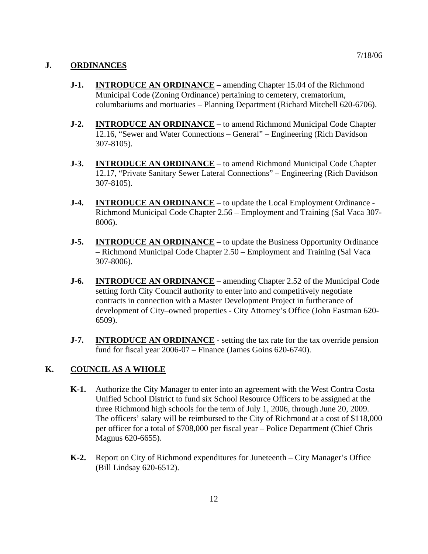## **J. ORDINANCES**

- **J-1. INTRODUCE AN ORDINANCE** amending Chapter 15.04 of the Richmond Municipal Code (Zoning Ordinance) pertaining to cemetery, crematorium, columbariums and mortuaries – Planning Department (Richard Mitchell 620-6706).
- **J-2. INTRODUCE AN ORDINANCE** to amend Richmond Municipal Code Chapter 12.16, "Sewer and Water Connections – General" – Engineering (Rich Davidson 307-8105).
- **J-3. INTRODUCE AN ORDINANCE** to amend Richmond Municipal Code Chapter 12.17, "Private Sanitary Sewer Lateral Connections" – Engineering (Rich Davidson 307-8105).
- **J-4. INTRODUCE AN ORDINANCE** to update the Local Employment Ordinance -Richmond Municipal Code Chapter 2.56 – Employment and Training (Sal Vaca 307- 8006).
- **J-5. INTRODUCE AN ORDINANCE** to update the Business Opportunity Ordinance – Richmond Municipal Code Chapter 2.50 – Employment and Training (Sal Vaca 307-8006).
- **J-6. INTRODUCE AN ORDINANCE** amending Chapter 2.52 of the Municipal Code setting forth City Council authority to enter into and competitively negotiate contracts in connection with a Master Development Project in furtherance of development of City–owned properties - City Attorney's Office (John Eastman 620- 6509).
- **J-7. INTRODUCE AN ORDINANCE** setting the tax rate for the tax override pension fund for fiscal year 2006-07 – Finance (James Goins 620-6740).

### **K. COUNCIL AS A WHOLE**

- **K-1.** Authorize the City Manager to enter into an agreement with the West Contra Costa Unified School District to fund six School Resource Officers to be assigned at the three Richmond high schools for the term of July 1, 2006, through June 20, 2009. The officers' salary will be reimbursed to the City of Richmond at a cost of \$118,000 per officer for a total of \$708,000 per fiscal year – Police Department (Chief Chris Magnus 620-6655).
- **K-2.** Report on City of Richmond expenditures for Juneteenth City Manager's Office (Bill Lindsay 620-6512).